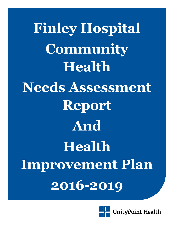**Finley Hospital Community Health Needs Assessment Report And Health Improvement Plan 2016-2019**

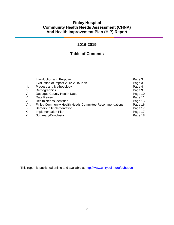# **Finley Hospital Community Health Needs Assessment (CHNA) And Health Improvement Plan (HIP) Report**

# **2016-2019**

# **Table of Contents**

| I.    | Introduction and Purpose                                       | Page 3  |
|-------|----------------------------------------------------------------|---------|
| Ш.    | Evaluation of Impact 2012-2015 Plan                            | Page 3  |
| III.  | Process and Methodology                                        | Page 4  |
| IV.   | Demographics                                                   | Page 9  |
| V.    | Dubuque County Health Data                                     | Page 10 |
| VI.   | Data Review                                                    | Page 11 |
| VII.  | <b>Health Needs Identified</b>                                 | Page 15 |
| VIII. | <b>Finley Community Health Needs Committee Recommendations</b> | Page 16 |
| IX.   | Barriers to Implementation                                     | Page 17 |
| Х.    | <b>Implementation Plan</b>                                     | Page 17 |
| XI.   | Summary/Conclusion                                             | Page 18 |

This report is published online and available at<http://www.unitypoint.org/dubuque>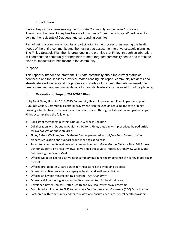## **I. Introduction**

Finley Hospital has been serving the Tri-State Community for well over 100 years. Throughout that time, Finley has become known as a "community hospital" dedicated to serving the residents of Dubuque and surrounding counties.

Part of being a community hospital is participation in the process of assessing the health needs of the entire community and then using that assessment to drive strategic planning. The Finley Strategic Plan then is grounded in the premise that Finley, through collaboration, will contribute to community partnerships to meet targeted community needs and formulate plans to impact future healthcare in the community.

## **Purpose**

This report is intended to inform the Tri-State community about the current status of healthcare and the services provided. When reading this report, community residents and stakeholders will understand the process and methodology used, the data reviewed, the needs identified, and recommendations for hospital leadership to be used for future planning

# **II. Evaluation of Impact 2012-2015 Plan**

UnityPoint Finley Hospital 2012-2015 Community Health Improvement Plan, in partnership with Dubuque County Community Health Improvement Plan focused on reducing the rate of binge drinking, obesity, healthy behaviors, and access to care. Through collaboration and partnerships Finley accomplished the following:

- Consistent membership within Dubuque Wellness Coalition
- Collaboration with Dubuque Pediatrics, PC for a Finley dietitian visit prescribed by pediatrician for overweight or obese children.
- Finley Babka Wellness/Kehl Diabetes Center partnered with HyVee Food Stores to offer diabetes education and support group meetings at no cost
- Promoted community wellness activities such as Let's Move, Go the Distance Day, Fall Fitness Day for students, Live Healthy Iowa, Iowa's Healthiest State Initiative, Grandview Gallop, and Reinventing the Family Meal
- Offered Diabetes Express; a two hour summary outlining the importance of healthy blood sugar control.
- Offered pre-diabetes 2-part classes for those at risk of developing diabetes.
- Offered incentive rewards for employee health and wellness activities
- Offered an 8 week mindful eating program *Am I Hungry?®*
- Offered calcium scoring as a community screening tool for health disease
- Developed Better Choices/Better Health and My Healthy Pathway programs
- Completed application to CMS to become a Certified Assistant Counselor (CAC) Organization
- Partnered with community leaders to review and ensure adequate mental health providers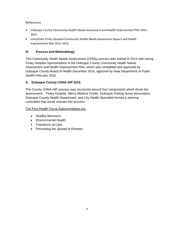## References

- Dubuque County Community Health Needs Assessment and Health Improvement Plan 2011- 2015
- UnityPoint Finley Hospital Community Health Needs Assessment Report and Health Improvement Plan 2012-2015

## **III. Process and Methodology**

This Community Health Needs Assessment (CHNA) process was started in 2014 with strong Finley Hospital representation in the Dubuque County Community Health Needs Assessment and Health Improvement Plan, which was completed and approved by Dubuque County Board of Health December 2015, approval by Iowa Department of Public Health February 2016.

# **A. Dubuque County CHNA HIP 2015**

The County CHNA-HIP process was structured around four components which drove the assessment. Finley Hospital, Mercy Medical Center, Dubuque Visiting Nurse Association, Dubuque County Health Department, and City Health Specialist formed a steering committee that would oversee this process.

The Four Health Focus Subcommittees are:

- Healthy Behaviors
- Environmental Health
- Transitions of Care
- Preventing the Spread of Disease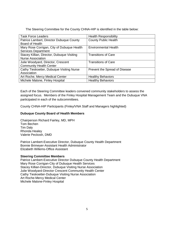The Steering Committee for the County CHNA-HIP is identified in the table below:

| <b>Task Force Leaders</b>                  | <b>Health Responsibility</b>  |  |
|--------------------------------------------|-------------------------------|--|
| Patrice Lambert, Director Dubuque County   | <b>County Public Health</b>   |  |
| Board of Health                            |                               |  |
| Mary Rose Corrigan, City of Dubuque Health | <b>Environmental Health</b>   |  |
| <b>Services Department</b>                 |                               |  |
| Stacey Killian, Director, Dubuque Visiting | <b>Transitions of Care</b>    |  |
| <b>Nurse Association</b>                   |                               |  |
| Julie Woodyard, Director, Crescent         | <b>Transitions of Care</b>    |  |
| <b>Community Health Center</b>             |                               |  |
| Cathy Tieskoetter, Dubuque Visiting Nurse  | Prevent the Spread of Disease |  |
| Association                                |                               |  |
| Art Roche, Mercy Medical Center            | <b>Healthy Behaviors</b>      |  |
| Michele Malone, Finley Hospital            | <b>Healthy Behaviors</b>      |  |

Each of the Steering Committee leaders convened community stakeholders to assess the assigned focus. Members of the Finley Hospital Management Team and the Dubuque VNA participated in each of the subcommittees.

County CHNA-HIP Participants (Finley/VNA Staff and Managers highlighted)

## **Dubuque County Board of Health Members**

Chairperson Richard Fairley, MD, MPH Tom Bechen Tim Daly Rhonda Healey Valerie Peckosh, DMD

Patrice Lambert-Executive Director, Dubuque County Health Department Bonnie Brimeyer-Assistant Health Administrator Elizabeth Willems-Office Assistant

### **Steering Committee Members**

Patrice Lambert-Executive Director Dubuque County Health Department Mary Rose Corrigan-City of Dubuque Health Services Stacey Killian-Director, Dubuque Visiting Nurse Association Julie Woodyard-Director Crescent Community Health Center Cathy Tieskoetter-Dubuque Visiting Nurse Association Art Roche-Mercy Medical Center Michele Malone-Finley Hospital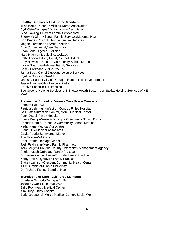#### **Healthy Behaviors Task Force Members**

Trish Kemp-Dubuque Visiting Nurse Association Cyd Klein-Dubuque Visiting Nurse Association Gina Dowling-Hillcrest Family Services/WIC Sherry McGinn-Hillcrest Family Services/Maternal Health Don Kroger-City of Dubuque Leisure Services Megan Horstmann-HyVee Dietician Amy Cordingley-HyVee Dietician Brian Scheil-HyVee Dietician Mary Nauman-Medical Associates Beth Broderick-Holy Family School District Amy Hawkins-Dubuque Community School District Vickie Gassman-Hillcrest Family Services Casey Breitbach-YMCA/YWCA Janna Beau-City of Dubuque Leisure Services Cynthia Sanders-NAACP Manisha Paudel-City of Dubuque Human Rights Department Jason Thieme-City of Asbury Parks Carolyn Scherf-ISU Extension Sue Greene-Helping Services of NE Iowa Health System Jen Stolka-Helping Services of NE Iowa

#### **Prevent the Spread of Disease Task Force Members**

Annette Hall-UCL Patricia Lehmkuhl-Infection Control, Finley Hospital Gail Gates-Infection Control, Mercy Medical Center Patty Dissell-Finley Hospital Sheila Knapp-Western Dubuque Community School District Rhonda Ramler-Dubuque Community School District Kathy Kane-Medical Associates Diane Link-Medical Associates Gayla Roarig-Sunnycrest Manor Ann Fessler-VA Clinic Dani Ettema-Heritage Manor Josh Feldmann-Mercy Family Pharmacy Tom Berger-Dubuque County Emergency Management Agency Angie Kutsch-Dubuque Family Practice Dr. Lawrence Hutchison-Tri State Family Practice Kathy Harris-Dyersville Family Practice Stacey Larrison-Crescent Community Health Center Julie Burgmeier-Clarke University Dr. Richard Fairley-Board of Health

#### **Transitions of Care Task Force Members**

Charlene Schrodt-Dubuque VNA Jacquie Zwack-Dubuque VNA Sally Roy-Mercy Medical Center Kim Hilby-Finley Hospital Barb Koepperick-Mercy Medical Center, Social Work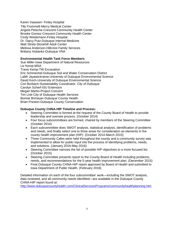Karen Vaassen- Finley Hospital Tilly Frommelt-Mercy Medical Center Angela Petsche-Crescent Community Health Center Brooke Gomez-Crescent Community Health Center Cindy Weidemann-Finley Hospital Dr. Darcy Putz-Dubuque Internal Medicine Matt Strela-Stonehill Adult Center Melissa Anderson-Hillcrest Family Services Brittany Hubanks-Dubuque VNA

## **Environmental Health Task Force Members**

Sue Miller-Iowa Department of Natural Resources Liz Kemp-MSA Travis Kemp-TW Excavation Eric Schmechel-Dubuque Soil and Water Conservation District Lalith Jayawickrama-University of Dubuque Environmental Science David Koch-University of Dubuque Environmental Science Cori Burbach-Sustainability Coordinator, City of Dubuque Carolyn Scherf-ISU Extension Megan Martin-Project Concern Tim Link-City of Dubuque Health Services Bonnie Brimeyer-Dubuque County Health Brian Preston-Dubuque County Conservation

## **Dubuque County CHNA-HIP Timeline and Process:**

- Steering Committee is formed at the request of the County Board of Health to provide leadership and oversee process. (October 2014)
- Four focus subcommittees are formed, chaired by members of the Steering Committee (October 2014)
- Each subcommittee does SWOT analysis, statistical analysis, identification of problems and needs, and finally select one to three areas for consideration as elements in the county health improvement plan (HIP). (October 2014-March 2015)
- Three Community Cafes were held throughout the county and a community survey was implemented to allow for public input into the process of identifying problems, needs, and solutions. (January 2016-May 2016)
- Steering Committee narrows the list of possible HIP objectives to a more focused list. (October 2015)
- Steering Committee presents report to the County Board of Health including problems, needs, and recommendations for the 5-year health improvement plan. (December 2015)
- Final Dubuque County CHNA-HIP report approved by Board of Health and submitted to Iowa Department of Public Health. (February 2016)

Detailed information on each of the four subcommittee' work—including the SWOT analysis, data reviewed, and all community needs identified—are available in the Dubuque County CHNA-HIP report found at:

<http://www.dubuquecountyhealth.com/ClinicalServicesPrograms/communityhealthplanning.htm>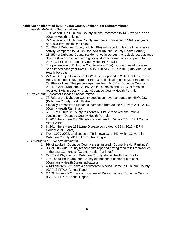## **Health Needs Identified by Dubuque County Stakeholder Subcommittees:**

- *A. Healthy Behaviors Subcommittee*
	- 1. 10% of adults in Dubuque County smoke, compared to 14% five years ago (County Health rankings)
	- 2. 29% of adults in Dubuque County are obese, compared to 26% four years ago. (County Health Rankings)
	- 3. 20.50% of Dubuque County adults (18+) self-report no leisure time physical activity, compared to 24.54% for Iowa (Dubuque County Health Portrait)
	- 4. 23.95% of Dubuque County residents live in census tracts designated as food deserts (low access to a large grocery store/supermarket), compared to 22.71% for Iowa. (Dubuque County Health Portrait)
	- 5. The percentage of Dubuque County adults (20+) with diagnosed diabetes has climbed each year from 6.1% in 2004 to 7.9% in 2010. (Dubuque County Health Portrait)
	- 6. 27% of Dubuque County adults (20+) self-reported in 2010 that they have a Body Mass Index (BMI) greater than 30.0 (indicating obesity), compared to 29.29% for Iowa. This percentage grew from 24.5% in Dubuque County in 2004. In 2010 Dubuque County, 29.1% of males and 25.7% of females reported BMIs in obesity range. (Dubuque County Health Portrait)
- *B. Prevent the Spread of Disease Subcommittee*
	- 1. 78.70% of the Dubuque County population never screened for HIV/AIDS. (Dubuque County Health Portrait)
	- 2. Sexually Transmitted Diseases increased from 308 to 402 from 2011-2015. (County Health Rankings)
	- 3. 68.5% of Dubuque County residents 65+ have received pneumonia vaccination. (Dubuque County Health Portrait)
	- 4. In 2014 there were 208 Shigellosis compared to 57 in 2010. (IDPH County Vital Events)
	- 5. In 2014 there were 193 Lyme Disease compared to 89 in 2010. (IDPH County Vital Events)
	- 6. From 1999-2008, total cases of TB in Iowa were 449, which 13 were in Dubuque County. (IDPH TB Control Program)
- *C. Transitions of Care Subcommittee*
	- 1. 9% of adults in Dubuque County are uninsured. (County Health Rankings)
	- 2. 3% of Dubuque County respondents reported having tried to kill themselves in the past 12 months. (County Health Rankings)
	- 3. 226 Total Physicians in Dubuque County. (Iowa Health Fact Book)
	- 4. 7.5% of adults in Dubuque County did not see a doctor due to cost. (Community Health Status Indicators)
	- 5. 4,149 children 0-21 have a documented Medical Home in Dubuque County. (CAReS FFY14 Annual Report)
	- 6. 2,470 children 0-21 have a documented Dental Home in Dubuque County. (CAReS FFY14 Annual Report)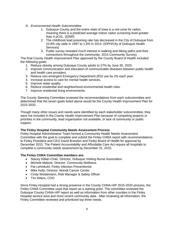- *D. Environmental Health Subcommittee*
	- 1. Dubuque County and the entire state of Iowa is a red-zone for radon, meaning there is a predicted average indoor radon screening level greater than 4 pCI/L. (IDNR)
	- 2. The childhood lead poisoning rate has decreased in the City of Dubuque from 10.8% city wide in 1997 to 1.6% in 2014. (IDPH/City of Dubuque Health Services)
	- 3. Public survey revealed much interest in walking and biking paths and their connections throughout the community. 2015 Community Survey)

The final County Health Improvement Plan approved by the County Board of Health included the following goals:

- 1. Reduce obesity among Dubuque County adults to 27% by June 30, 2020.
- 2. Improve communication and education of communicable diseases between public health and health care providers.
- 3. Reduce non-emergent Emergency Department (ED) use by 2% each year.
- 4. Increase access to care for mental health services.
- 5. Improve water quality.
- 6. Reduce residential and neighborhood environmental health risks.
- 7. Improve residential living environments.

The County Steering Committee reviewed the recommendations from each subcommittee and determined that the seven goals listed above would be the County Health Improvement Plan for 2015-2020.

Though many other issues and needs were identified by each stakeholder subcommittee, they were not included in the County Health Improvement Plan because of competing projects or priorities in the community, lead organization not available, or lack of community or public support.

### **The Finley Hospital Community Needs Assessment Process**

Finley Hospital Administrative Team formed a Community Health Needs Assessment Committee with the goal to complete and submit the Finley CHNA report with recommendations to Finley President and CEO David Brandon and Finley Board of Health for approval by December 2015. The Patient Accountability and Affordable Care Act require all hospitals to complete a community needs assessment by December 31, 2015.

### **The Finley CHNA Committee members are:**

- Stacey Killian-Chair, Director, Dubuque Visiting Nurse Association
- Michele Malone, Director, Community Wellness
- Pat Lehmkuhl, Finley Infection Preventionist
- Mike Kelly, Director, Wendt Cancer Center
- Cindy Weidemann, Risk Manager & Safety Officer
- Tim Ahlers, COO

Since Finley Hospital had a strong presence in the County CHNA-HIP 2015-2020 process, the Finley CHNA Committee used that report as a starting point. The committee reviewed the Dubuque County CHNA-HIP report as well as information from other counties in the Finley Hospital service area and more recent community data. After reviewing all information, the Finley Committee reviewed and prioritized top three needs.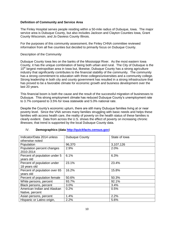#### **Definition of Community and Service Area**

The Finley Hospital serves people residing within a 50-mile radius of Dubuque, Iowa. The major service area is Dubuque County, but also includes Jackson and Clayton Counties Iowa, Grant County Wisconsin, and Jo Daviess County Illinois.

For the purposes of this community assessment, the Finley CHNA committee reviewed information from all five counties but decided to primarily focus on Dubuque County.

#### Description of the Community

Dubuque County Iowa lies on the banks of the Mississippi River. As the most eastern Iowa County, it has the unique combination of being both urban and rural. The City of Dubuque is the  $10<sup>th</sup>$  largest metropolitan area in Iowa but, likewise, Dubuque County has a strong agriculture industry that significantly contributes to the financial stability of the community. The community has a strong commitment to education with three colleges/universities and a community college. Strong leadership in both city and county government has resulted in a strong infrastructure that has proved to be a favorable climate for economic growth and business development over the last 20 years.

This financial boom is both the cause and the result of the successful migration of businesses to Dubuque. This strong employment climate has reduced Dubuque County's unemployment rate to 3.7% compared to 3.5% for Iowa statewide and 5.0% national rate.

Despite the County's economic upturn, there are still many Dubuque families living at or near poverty level. Since the VNA serves many families struggling with basic needs and helps these families with access health care, the reality of poverty on the health status of these families is clearly evident. Data from across the U.S. shows the effect of poverty on increasing chronic illnesses; that trend is supported by the local Dubuque County data.

| Indicator/Data 2014 unless    | <b>Dubuque County</b> | State of Iowa |
|-------------------------------|-----------------------|---------------|
| otherwise noted               |                       |               |
| Population                    | 96,370                | 3,107,126     |
| Population percent changes    | 2.9%                  | 2.0%          |
| 2010-2014                     |                       |               |
| Percent of population under 5 | 6.1%                  | 6.3%          |
| years old                     |                       |               |
| Percent of population under   | 23.1%                 | 23.4%         |
| 18 years old                  |                       |               |
| Percent of population over 65 | 16.2%                 | 15.8%         |
| years old                     |                       |               |
| Percent of population female  | 50.6%                 | 50.3%         |
| White persons, percent        | 93.7%                 | 92.1%         |
| Black persons, percent        | 3.0%                  | 3.4%          |
| American Indian and Alaskan   | 0.2%                  | 0.5%          |
| Native, percent               |                       |               |
| Asian persons, percent        | 1.4%                  | 2.2%          |
| Hispanic or Latino origin,    | 2.2%                  | 5.6%          |

## IV. **Demographics (data [http://quickfacts.census.gov](http://quickfacts.census.gov/)**)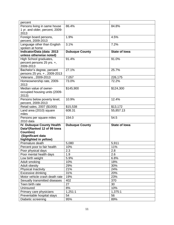| percent                                                 |                       |                      |
|---------------------------------------------------------|-----------------------|----------------------|
| Persons living in same house                            | 86.4%                 | 84.8%                |
| 1 yr. and older, percent, 2009-                         |                       |                      |
| 2013                                                    |                       |                      |
| Foreign board persons,                                  | 1.9%                  | 4.5%                 |
| percent, 2009-2013                                      |                       |                      |
| Language other than English                             | 3.1%                  | 7.2%                 |
| spoken at home                                          |                       |                      |
| Indicator/Data (data 2013<br>unless otherwise noted)    | <b>Dubuque County</b> | <b>State of lowa</b> |
| High School graduates,                                  | 91.4%                 | 91.0%                |
| percent persons 25 yrs. +,                              |                       |                      |
| 2009-2013                                               |                       |                      |
| Bachelor's degree, percent                              | 27.1%                 | 25.7%                |
| persons 25 yrs. +, 2009-2013                            |                       |                      |
| Veterans, 2009-2013                                     | 7,057                 | 226,175              |
| Homeownership rate, 2009-                               | 73.0%                 | 72.2%                |
| 2013                                                    |                       |                      |
| Median value of owner-                                  | \$145,900             | \$124,300            |
| occupied housing units (2009-                           |                       |                      |
| 2013)                                                   |                       |                      |
| Persons below poverty level,                            | 10.9%                 | 12.4%                |
| percent, 2009-2013                                      |                       |                      |
| Retail sales, 2007 (\$1000)                             | \$15,538              | \$13,172             |
| Land area (2010) square                                 | 608.31                | 55,857.13            |
| miles                                                   |                       |                      |
| Persons per square miles                                | 154.0                 | 54.5                 |
| 2010 data                                               |                       |                      |
| IV. Dubuque County Health<br>Data*(Ranked 12 of 99 lowa | <b>Dubuque County</b> | <b>State of lowa</b> |
| <b>Counties)</b>                                        |                       |                      |
| (Significant data                                       |                       |                      |
| highlighted in yellow)                                  |                       |                      |
| Premature death                                         | 5,080                 | 5,911                |
| Percent poor to fair health                             | 10%                   | 11%                  |
| Poor physical days                                      | 2.3                   | 2.8                  |
| Poor mental health days                                 | 1.9                   | 2.6                  |
| Low birth weight                                        | 5.9%                  | 6.8%                 |
| Adult smoking                                           | 10%                   | 18%                  |
| Adult obesity                                           | 29%                   | 30%                  |
| Physical Inactivity                                     | 21%                   | 24%                  |
| Excessive drinking                                      | 31%                   | 20%                  |
| Motor vehicle crash death rate                          | 19%                   | 23%                  |
| Sexually transmitted diseases                           | 402                   | 370                  |
| Teen birth rate                                         | 27                    | 30                   |
| Uninsured                                               | 8%                    | 10%                  |
| Primary care physicians                                 | 1,251:1               | 1,375:1              |
| Preventable hospital stays                              | 54                    | 56                   |
| Diabetic screening                                      | 95%                   | 89%                  |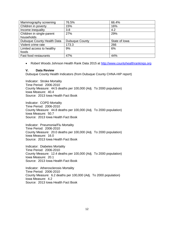| Mammography screening      | 76.5%          | 66.4%         |
|----------------------------|----------------|---------------|
| Children in poverty        | 15%            | 16%           |
| Income inequality          | 3.8            | 4.2           |
| Children in single-parent  | 27%            | 29%           |
| households                 |                |               |
| Dubuque County Health Data | Dubuque County | State of Iowa |
| Violent crime rate         | 173.3          | 266           |
| Limited access to healthy  | 9%             | 6%            |
| foods                      |                |               |
| Fast food restaurants      | 47%            | 44%           |

• Robert Woods Johnson Health Rank Data 2015 at [http://www.countyhealthrankings.org](http://www.countyhealthrankings.org/)

#### **V. Data Review**

Dubuque County Health Indicators (from Dubuque County CHNA-HIP report)

Indicator: Stroke Mortality Time Period: 2006-2010 County Measure: 44.5 deaths per 100,000 (Adj. To 2000 population) Iowa Measure: 40.4 Source: 2013 Iowa Health Fact Book

Indicator: COPD Mortality Time Period: 2006-2010 County Measure: 44.8 deaths per 100,000 (Adj. To 2000 population) Iowa Measure: 50.7 Source: 2013 Iowa Health Fact Book

Indicator: Pneumonia/Flu Mortality Time Period: 2006-2010 County Measure: 20.0 deaths per 100,000 (Adj. To 2000 population) Iowa Measure: 16.0 Source: 2013 Iowa Health Fact Book

Indicator: Diabetes Mortality Time Period: 2006-2010 County Measure: 12.4 deaths per 100,000 (Adj. To 2000 population) Iowa Measure: 20.1 Source: 2013 Iowa Health Fact Book

Indicator: Atherosclerosis Mortality Time Period: 2006-2010 County Measure: 6.2 deaths per 100,000 (Adj. To 2000 population) Iowa Measure: 4.2 Source: 2013 Iowa Health Fact Book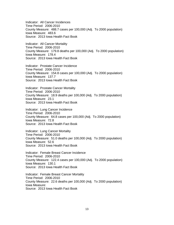Indicator: All Cancer Incidences Time Period: 2006-2010 County Measure: 488.7 cases per 100,000 (Adj. To 2000 population) Iowa Measure: 483.6 Source: 2013 Iowa Health Fact Book

Indicator: All Cancer Mortality Time Period: 2006-2010 County Measure: 179.8 deaths per 100,000 (Adj. To 2000 population) Iowa Measure: 178.4 Source: 2013 Iowa Health Fact Book

Indicator: Prostate Cancer Incidence Time Period: 2006-2010 County Measure: 154.8 cases per 100,000 (Adj. To 2000 population) Iowa Measure: 137.7 Source: 2013 Iowa Health Fact Book

Indicator: Prostate Cancer Mortality Time Period: 2006-2010 County Measure: 18.9 deaths per 100,000 (Adj. To 2000 population) Iowa Measure: 23.1 Source: 2013 Iowa Health Fact Book

Indicator: Lung Cancer Incidence Time Period: 2006-2010 County Measure: 64.8 cases per 100,000 (Adj. To 2000 population) Iowa Measure: 72.8 Source: 2013 Iowa Health Fact Book

Indicator: Lung Cancer Mortality Time Period: 2006-2010 County Measure: 51.0 deaths per 100,000 (Adj. To 2000 population) Iowa Measure: 52.6 Source: 2013 Iowa Health Fact Book

Indicator: Female Breast Cancer Incidence Time Period: 2006-2010 County Measure: 122.4 cases per 100,000 (Adj. To 2000 population) Iowa Measure: 130.1 Source: 2013 Iowa Health Fact Book

Indicator: Female Breast Cancer Mortality Time Period: 2006-2010 County Measure: 22.6 deaths per 100,000 (Adj. To 2000 population) Iowa Measure: Source: 2013 Iowa Health Fact Book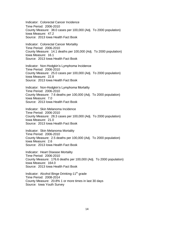Indicator: Colorectal Cancer Incidence Time Period: 2006-2010 County Measure: 38.0 cases per 100,000 (Adj. To 2000 population) Iowa Measure: 47.2 Source: 2013 Iowa Health Fact Book

Indicator: Colorectal Cancer Mortality Time Period: 2006-2010 County Measure: 14.1 deaths per 100,000 (Adj. To 2000 population) Iowa Measure: 16.1 Source: 2013 Iowa Health Fact Book

Indicator: Non-Hodgkin's Lymphoma Incidence Time Period: 2006-2010 County Measure: 25.0 cases per 100,000 (Adj. To 2000 population) Iowa Measure: 22.8 Source: 2013 Iowa Health Fact Book

Indicator: Non-Hodgkin's Lymphoma Mortality Time Period: 2006-2010 County Measure: 7.6 deaths per 100,000 (Adj. To 2000 population) Iowa Measure: 7.0 Source: 2013 Iowa Health Fact Book

Indicator: Skin Melanoma Incidence Time Period: 2006-2010 County Measure: 28.3 cases per 100,000 (Adj. To 2000 population) Iowa Measure: 21.0 Source: 2013 Iowa Health Fact Book

Indicator: Skin Melanoma Mortality Time Period: 2006-2010 County Measure: 2.5 deaths per 100,000 (Adj. To 2000 population) Iowa Measure: 2.6 Source: 2013 Iowa Health Fact Book

Indicator: Heart Disease Mortality Time Period: 2006-2010 County Measure: 176.6 deaths per 100,000 (Adj. To 2000 population) Iowa Measure: 164.0 Source: 2013 Iowa Health Fact Book

Indicator: Alcohol Binge Drinking-11<sup>th</sup> grade Time Period: 2008-2014 County Measure: 20.8% 1 or more times in last 30 days Source: Iowa Youth Survey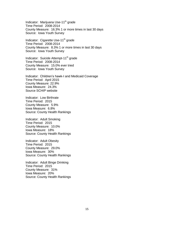Indicator: Marijuana Use-11<sup>th</sup> grade Time Period: 2008-2014 County Measure: 16.3% 1 or more times in last 30 days Source: Iowa Youth Survey

Indicator: Cigarette Use-11<sup>th</sup> grade Time Period: 2008-2014 County Measure: 8.3% 1 or more times in last 30 days Source: Iowa Youth Survey

Indicator: Suicide Attempt-11<sup>th</sup> grade Time Period: 2008-2014 County Measure: 15.0% ever tried Source: Iowa Youth Survey

Indicator: Children's hawk-I and Medicaid Coverage Time Period: April 2015 County Measure: 22.9% Iowa Measure: 24.3% Source SCHIP website

Indicator: Low Birthrate Time Period: 2015 County Measure: 5.9% Iowa Measure: 6.8% Source: County Health Rankings

Indicator: Adult Smoking Time Period: 2015 County Measure: 10.0% Iowa Measure: 18% Source: County Health Rankings

Indicator: Adult Obesity Time Period: 2015 County Measure: 29.0% Iowa Measure: 30% Source: County Health Rankings

Indicator: Adult Binge Drinking Time Period: 2015 County Measure: 31% Iowa Measure: 20% Source: County Health Rankings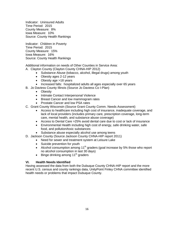Indicator: Uninsured Adults Time Period: 2015 County Measure: 8% Iowa Measure: 10% Source: County Health Rankings

Indicator: Children in Poverty Time Period: 2015 County Measure: 15% Iowa Measure: 16% Source: County Health Rankings

Additional information on needs of Other Counties in Service Area:

- A. Clayton County (Clayton County CHNA-HIP 2012)
	- Substance Abuse (tobacco, alcohol, illegal drugs) among youth
	- Obesity ages 2-12 years
	- Obesity age >18 years
	- Increased falls: hospitalized adults all ages especially over 65 years
- B. Jo Daviess County Illinois (Source Jo Daviess Co I-Plan)
	- Obesity
	- Intimate Contact Interpersonal Violence
	- Breast Cancer and low mammogram rates
	- Prostate Cancer and low PSA rates
- C. Grant County Wisconsin (Source Grant County Comm. Needs Assessment)
	- Access to healthcare including high cost of insurance, inadequate coverage, and lack of local providers (includes primary care, prescription coverage, long-term care, mental health, and substance abuse coverage)
	- Access to Dental Care >25% avoid dental care due to cost or lack of insurance
	- Environmental Health including high cost of energy, safe drinking water, safe food, and pollution/toxic substances
	- Substance abuse especially alcohol use among teens
- D. Jackson County (Source Jackson County CHNA-HIP report 2011)
	- Need for sewer and treatment system at Leisure Lake
	- Suicide prevention for youth
	- Alcohol consumption among 11<sup>th</sup> graders (goal increase by 5% those who report no alcohol consumption in last 30 days)
	- $\bullet$  Binge drinking among 11<sup>th</sup> graders

### **VI. Health Needs Identified**

Having assessed the data from both the Dubuque County CHNA-HIP report and the more recent U.S. census and county rankings data, UnityPoint Finley CHNA committee identified health needs or problems that impact Dubuque County.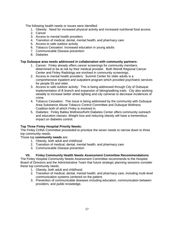The following health needs or issues were identified

- 1. Obesity: Need for increased physical activity and increased nutritional food access
- 2. Cancer
- 3. Access to mental health providers
- 4. Transition of medical, dental, mental health, and pharmacy care
- 5. Access to safe outdoor activity
- 6. Tobacco Cessation: Increased education in young adults
- 7. Communicable Disease prevention
- 8. Diabetes

#### **Top Dubuque area needs addressed in collaboration with community partners:**

- 1. Cancer: Finley already offers cancer screenings for community members determined to be at risk by their medical provider. Both Wendt Regional Cancer Center and Finley Radiology are involved in community screenings.
- 2. Access to mental health providers: Summit Center for older adults is a comprehensive inpatient and outpatient program which provided psychiatric services for people 55 and older.
- 3. Access to safe outdoor activity: This is being addressed through City of Dubuque implementation of B branch and expansion of biking/walking trails. City also working steadily to increase better street lighting and city cameras to decrease incidences of crime.
- 4. Tobacco Cessation: This issue is being addressed by the community with Dubuque Area Substance Abuse Tobacco Control Committee and Dubuque Wellness Coalition-both of which Finley is involved in.
- 5. Diabetes: Finley Babka Wellness/Kehl Diabetes Center offers community outreach and education classes. Weight loss and reducing obesity will have a tremendous impact on diabetes control.

### **Top Three Finley Hospital Priority Needs:**

The Finley CHNA Committee proceeded to prioritize the seven needs to narrow down to three top community needs.

Those top **community needs** are:

- 1. Obesity, both adult and childhood
- 2. Transition of medical, dental, mental health, and pharmacy care
- 3. Communicable Disease prevention

### **VII. Finley Community Health Needs Assessment Committee Recommendations**

The Finley Hospital Community Needs Assessment Committee recommends to the Hospital Board of Directors and the Administrative Team that future strategic planning sessions consider these top community needs:

- 1. Obesity, both adult and childhood.
- 2. Transition of medical, dental, mental health, and pharmacy care, including multi-level communication systems centered on the patient.
- 3. Prevention of communicable diseases including education, communication between providers, and public knowledge.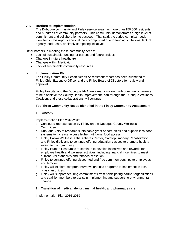## **VIII. Barriers to Implementation**

The Dubuque community and Finley service area has more than 150,000 residents and hundreds of community partners. This community demonstrates a high level of commitment and collaboration to succeed. That said, the varied complex needs identified in this report cannot all be accomplished due to funding limitations, lack of agency leadership, or simply competing initiatives.

Other barriers in meeting these community needs:

- Lack of sustainable funding for current and future projects
- Changes in future healthcare
- Changes within Medicaid
- Lack of sustainable community resources

### **IX. Implementation Plan**

The Finley Community Health Needs Assessment report has been submitted to Finley Chief Executive Officer and the Finley Board of Directors for review and approval.

Finley Hospital and the Dubuque VNA are already working with community partners to help achieve the County Health Improvement Plan through the Dubuque Wellness Coalition; and these collaborations will continue.

## **Top Three Community Needs Identified in the Finley Community Assessment:**

## **1. Obesity**

Implementation Plan 2016-2019

- a. Continued representation by Finley on the Dubuque County Wellness Committee.
- b. Dubuque VNA to research sustainable grant opportunities and support local food systems to increase access higher nutritional food access.
- c. Finley Babka Wellness/Kehl Diabetes Center, Cardiopulmonary Rehabilitation, and Finley dieticians to continue offering education classes to promote healthy eating to the community.
- d. Finley Human Resources to continue to develop incentives and rewards for employee health and wellness activities, including financial incentives to meet current BMI standards and tobacco cessation.
- e. Finley to continue offering discounted and free gym memberships to employees and families.
- f. Finley will explore comprehensive weight loss programs to implement in local physician offices.
- g. Finley will support securing commitments from participating partner organizations and coalition members to assist in implementing and supporting environmental change.

### **2. Transition of medical, dental, mental health, and pharmacy care**

Implementation Plan 2016-2019